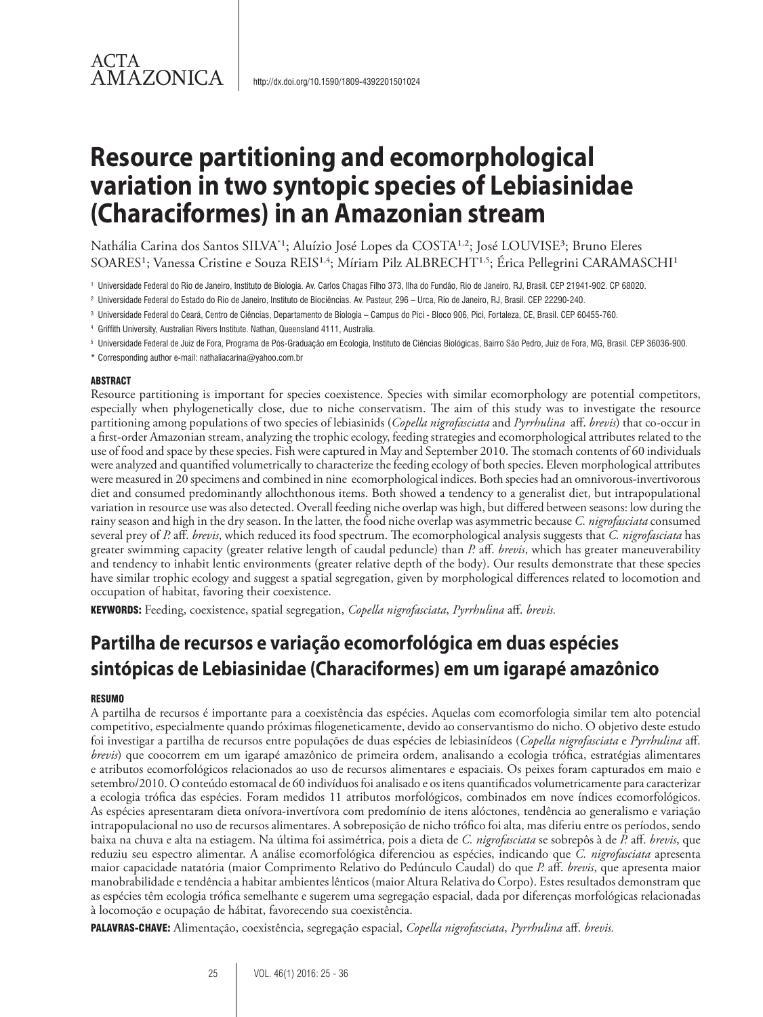# ACTA AMAZONICA

# **Resource partitioning and ecomorphological variation in two syntopic species of Lebiasinidae (Characiformes) in an Amazonian stream**

Nathália Carina dos Santos SILVA\*1; Aluízio José Lopes da COSTA½; José LOUVISE3; Bruno Eleres SOARES<sup>1</sup>; Vanessa Cristine e Souza REIS<sup>1,4</sup>; Míriam Pilz ALBRECHT<sup>1,5</sup>; Érica Pellegrini CARAMASCHI<sup>1</sup>

- <sup>1</sup> Universidade Federal do Rio de Janeiro, Instituto de Biologia. Av. Carlos Chagas Filho 373, Ilha do Fundão, Rio de Janeiro, RJ, Brasil. CEP 21941-902. CP 68020.
- ² Universidade Federal do Estado do Rio de Janeiro, Instituto de Biociências. Av. Pasteur, 296 Urca, Rio de Janeiro, RJ, Brasil. CEP 22290-240.
- ³ Universidade Federal do Ceará, Centro de Ciências, Departamento de Biologia Campus do Pici Bloco 906, Pici, Fortaleza, CE, Brasil. CEP 60455-760.
- <sup>4</sup> Griffith University, Australian Rivers Institute. Nathan, Queensland 4111, Australia.
- <sup>5</sup> Universidade Federal de Juiz de Fora, Programa de Pós-Graduação em Ecologia, Instituto de Ciências Biológicas, Bairro São Pedro, Juiz de Fora, MG, Brasil. CEP 36036-900.
- \* Corresponding author e-mail: nathaliacarina@yahoo.com.br

#### **ABSTRACT**

Resource partitioning is important for species coexistence. Species with similar ecomorphology are potential competitors, especially when phylogenetically close, due to niche conservatism. The aim of this study was to investigate the resource partitioning among populations of two species of lebiasinids (*Copella nigrofasciata* and *Pyrrhulina* aff. *brevis*) that co-occur in a first-order Amazonian stream, analyzing the trophic ecology, feeding strategies and ecomorphological attributes related to the use of food and space by these species. Fish were captured in May and September 2010. The stomach contents of 60 individuals were analyzed and quantified volumetrically to characterize the feeding ecology of both species. Eleven morphological attributes were measured in 20 specimens and combined in nine ecomorphological indices. Both species had an omnivorous-invertivorous diet and consumed predominantly allochthonous items. Both showed a tendency to a generalist diet, but intrapopulational variation in resource use was also detected. Overall feeding niche overlap was high, but differed between seasons: low during the rainy season and high in the dry season. In the latter, the food niche overlap was asymmetric because *C. nigrofasciata* consumed several prey of *P.* aff. *brevis*, which reduced its food spectrum. The ecomorphological analysis suggests that *C. nigrofasciata* has greater swimming capacity (greater relative length of caudal peduncle) than *P.* aff. *brevis*, which has greater maneuverability and tendency to inhabit lentic environments (greater relative depth of the body). Our results demonstrate that these species have similar trophic ecology and suggest a spatial segregation, given by morphological differences related to locomotion and occupation of habitat, favoring their coexistence.

KEYWORDS: Feeding, coexistence, spatial segregation, *Copella nigrofasciata*, *Pyrrhulina* aff. *brevis.*

# **Partilha de recursos e variação ecomorfológica em duas espécies sintópicas de Lebiasinidae (Characiformes) em um igarapé amazônico**

#### RESUMO

A partilha de recursos é importante para a coexistência das espécies. Aquelas com ecomorfologia similar tem alto potencial competitivo, especialmente quando próximas filogeneticamente, devido ao conservantismo do nicho. O objetivo deste estudo foi investigar a partilha de recursos entre populações de duas espécies de lebiasinídeos (*Copella nigrofasciata* e *Pyrrhulina* aff. *brevis*) que coocorrem em um igarapé amazônico de primeira ordem, analisando a ecologia trófica, estratégias alimentares e atributos ecomorfológicos relacionados ao uso de recursos alimentares e espaciais. Os peixes foram capturados em maio e setembro/2010. O conteúdo estomacal de 60 indivíduos foi analisado e os itens quantificados volumetricamente para caracterizar a ecologia trófica das espécies. Foram medidos 11 atributos morfológicos, combinados em nove índices ecomorfológicos. As espécies apresentaram dieta onívora-invertívora com predomínio de itens alóctones, tendência ao generalismo e variação intrapopulacional no uso de recursos alimentares. A sobreposição de nicho trófico foi alta, mas diferiu entre os períodos, sendo baixa na chuva e alta na estiagem. Na última foi assimétrica, pois a dieta de *C. nigrofasciata* se sobrepôs à de *P.* aff. *brevis*, que reduziu seu espectro alimentar. A análise ecomorfológica diferenciou as espécies, indicando que *C. nigrofasciata* apresenta maior capacidade natatória (maior Comprimento Relativo do Pedúnculo Caudal) do que *P.* aff. *brevis*, que apresenta maior manobrabilidade e tendência a habitar ambientes lênticos (maior Altura Relativa do Corpo). Estes resultados demonstram que as espécies têm ecologia trófica semelhante e sugerem uma segregação espacial, dada por diferenças morfológicas relacionadas à locomoção e ocupação de hábitat, favorecendo sua coexistência.

PALAVRAS-CHAVE: Alimentação, coexistência, segregação espacial, *Copella nigrofasciata*, *Pyrrhulina* aff. *brevis.*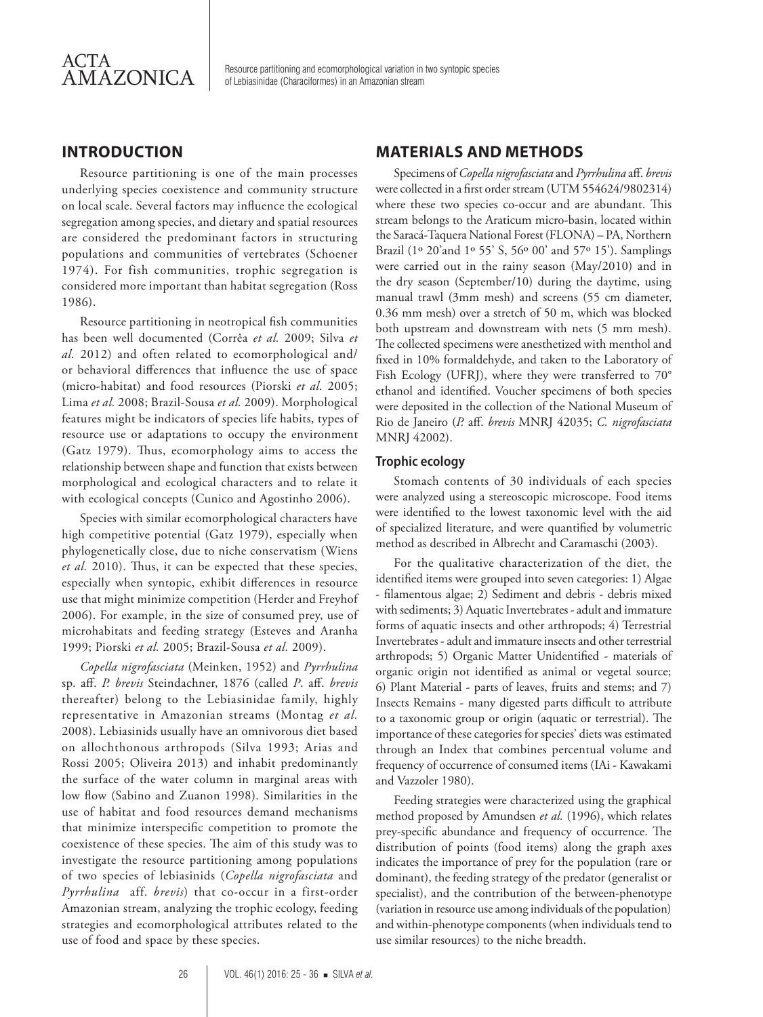

### **INTRODUCTION**

Resource partitioning is one of the main processes underlying species coexistence and community structure on local scale. Several factors may influence the ecological segregation among species, and dietary and spatial resources are considered the predominant factors in structuring populations and communities of vertebrates (Schoener 1974). For fish communities, trophic segregation is considered more important than habitat segregation (Ross 1986).

Resource partitioning in neotropical fish communities has been well documented (Corrêa *et al.* 2009; Silva *et al.* 2012) and often related to ecomorphological and/ or behavioral differences that influence the use of space (micro-habitat) and food resources (Piorski *et al.* 2005; Lima *et al.* 2008; Brazil-Sousa *et al.* 2009). Morphological features might be indicators of species life habits, types of resource use or adaptations to occupy the environment (Gatz 1979). Thus, ecomorphology aims to access the relationship between shape and function that exists between morphological and ecological characters and to relate it with ecological concepts (Cunico and Agostinho 2006).

Species with similar ecomorphological characters have high competitive potential (Gatz 1979), especially when phylogenetically close, due to niche conservatism (Wiens *et al.* 2010). Thus, it can be expected that these species, especially when syntopic, exhibit differences in resource use that might minimize competition (Herder and Freyhof 2006). For example, in the size of consumed prey, use of microhabitats and feeding strategy (Esteves and Aranha 1999; Piorski *et al.* 2005; Brazil-Sousa *et al.* 2009).

*Copella nigrofasciata* (Meinken, 1952) and *Pyrrhulina* sp. aff. *P. brevis* Steindachner, 1876 (called *P*. aff. *brevis* thereafter) belong to the Lebiasinidae family, highly representative in Amazonian streams (Montag *et al.* 2008). Lebiasinids usually have an omnivorous diet based on allochthonous arthropods (Silva 1993; Arias and Rossi 2005; Oliveira 2013) and inhabit predominantly the surface of the water column in marginal areas with low flow (Sabino and Zuanon 1998). Similarities in the use of habitat and food resources demand mechanisms that minimize interspecific competition to promote the coexistence of these species. The aim of this study was to investigate the resource partitioning among populations of two species of lebiasinids (*Copella nigrofasciata* and *Pyrrhulina* aff. *brevis*) that co-occur in a first-order Amazonian stream, analyzing the trophic ecology, feeding strategies and ecomorphological attributes related to the use of food and space by these species.

#### **MATERIALS AND METHODS**

Specimens of *Copella nigrofasciata* and *Pyrrhulina* aff. *brevis* were collected in a first order stream (UTM 554624/9802314) where these two species co-occur and are abundant. This stream belongs to the Araticum micro-basin, located within the Saracá-Taquera National Forest (FLONA) – PA, Northern Brazil (1º 20'and 1º 55' S, 56° 00' and 57° 15'). Samplings were carried out in the rainy season (May/2010) and in the dry season (September/10) during the daytime, using manual trawl (3mm mesh) and screens (55 cm diameter, 0.36 mm mesh) over a stretch of 50 m, which was blocked both upstream and downstream with nets (5 mm mesh). The collected specimens were anesthetized with menthol and fixed in 10% formaldehyde, and taken to the Laboratory of Fish Ecology (UFRJ), where they were transferred to 70° ethanol and identified. Voucher specimens of both species were deposited in the collection of the National Museum of Rio de Janeiro (*P.* aff. *brevis* MNRJ 42035; *C. nigrofasciata* MNRJ 42002).

#### **Trophic ecology**

Stomach contents of 30 individuals of each species were analyzed using a stereoscopic microscope. Food items were identified to the lowest taxonomic level with the aid of specialized literature, and were quantified by volumetric method as described in Albrecht and Caramaschi (2003).

For the qualitative characterization of the diet, the identified items were grouped into seven categories: 1) Algae - filamentous algae; 2) Sediment and debris - debris mixed with sediments; 3) Aquatic Invertebrates - adult and immature forms of aquatic insects and other arthropods; 4) Terrestrial Invertebrates - adult and immature insects and other terrestrial arthropods; 5) Organic Matter Unidentified - materials of organic origin not identified as animal or vegetal source; 6) Plant Material - parts of leaves, fruits and stems; and 7) Insects Remains - many digested parts difficult to attribute to a taxonomic group or origin (aquatic or terrestrial). The importance of these categories for species' diets was estimated through an Index that combines percentual volume and frequency of occurrence of consumed items (IAi - Kawakami and Vazzoler 1980).

Feeding strategies were characterized using the graphical method proposed by Amundsen *et al.* (1996), which relates prey-specific abundance and frequency of occurrence. The distribution of points (food items) along the graph axes indicates the importance of prey for the population (rare or dominant), the feeding strategy of the predator (generalist or specialist), and the contribution of the between-phenotype (variation in resource use among individuals of the population) and within-phenotype components (when individuals tend to use similar resources) to the niche breadth.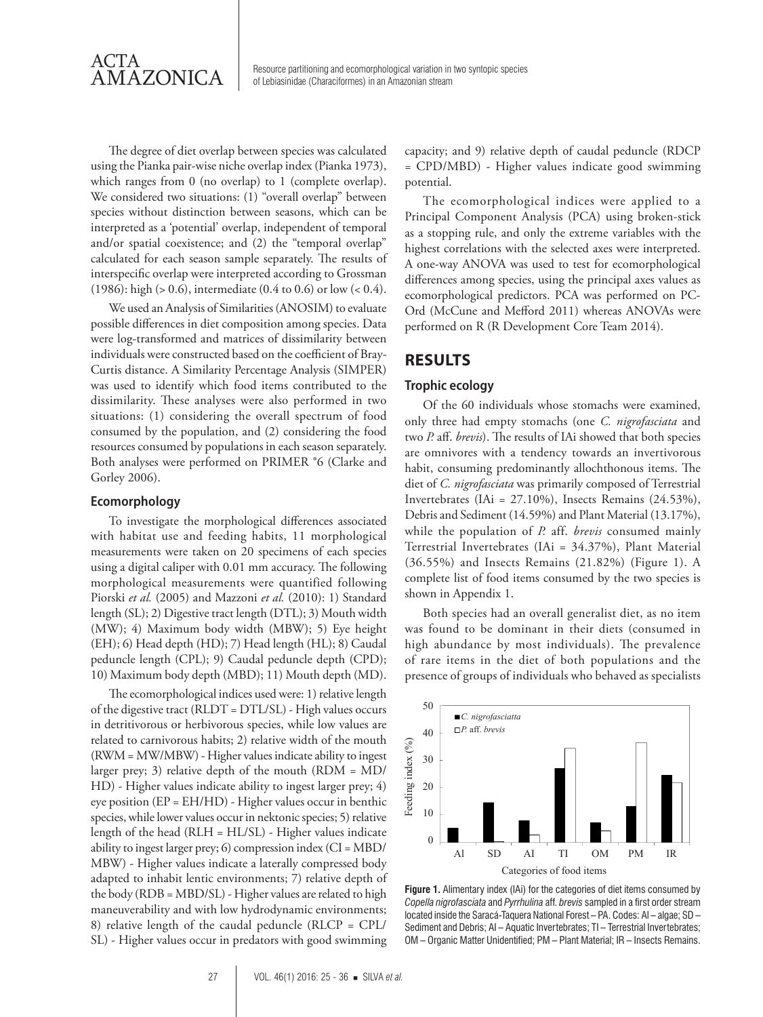

The degree of diet overlap between species was calculated using the Pianka pair-wise niche overlap index (Pianka 1973), which ranges from 0 (no overlap) to 1 (complete overlap). We considered two situations: (1) "overall overlap" between species without distinction between seasons, which can be interpreted as a 'potential' overlap, independent of temporal and/or spatial coexistence; and (2) the "temporal overlap" calculated for each season sample separately. The results of interspecific overlap were interpreted according to Grossman (1986): high (> 0.6), intermediate (0.4 to 0.6) or low (< 0.4).

We used an Analysis of Similarities (ANOSIM) to evaluate possible differences in diet composition among species. Data were log-transformed and matrices of dissimilarity between individuals were constructed based on the coefficient of Bray-Curtis distance. A Similarity Percentage Analysis (SIMPER) was used to identify which food items contributed to the dissimilarity. These analyses were also performed in two situations: (1) considering the overall spectrum of food consumed by the population, and (2) considering the food resources consumed by populations in each season separately. Both analyses were performed on PRIMER ®6 (Clarke and Gorley 2006).

#### **Ecomorphology**

To investigate the morphological differences associated with habitat use and feeding habits, 11 morphological measurements were taken on 20 specimens of each species using a digital caliper with 0.01 mm accuracy. The following morphological measurements were quantified following Piorski *et al.* (2005) and Mazzoni *et al.* (2010): 1) Standard length (SL); 2) Digestive tract length (DTL); 3) Mouth width (MW); 4) Maximum body width (MBW); 5) Eye height (EH); 6) Head depth (HD); 7) Head length (HL); 8) Caudal peduncle length (CPL); 9) Caudal peduncle depth (CPD); 10) Maximum body depth (MBD); 11) Mouth depth (MD).

The ecomorphological indices used were: 1) relative length of the digestive tract (RLDT = DTL/SL) - High values occurs in detritivorous or herbivorous species, while low values are related to carnivorous habits; 2) relative width of the mouth (RWM = MW/MBW) - Higher values indicate ability to ingest larger prey; 3) relative depth of the mouth (RDM = MD/ HD) - Higher values indicate ability to ingest larger prey; 4) eye position (EP = EH/HD) - Higher values occur in benthic species, while lower values occur in nektonic species; 5) relative length of the head (RLH = HL/SL) - Higher values indicate ability to ingest larger prey; 6) compression index (CI = MBD/ MBW) - Higher values indicate a laterally compressed body adapted to inhabit lentic environments; 7) relative depth of the body (RDB = MBD/SL) - Higher values are related to high maneuverability and with low hydrodynamic environments; 8) relative length of the caudal peduncle (RLCP = CPL/ SL) - Higher values occur in predators with good swimming capacity; and 9) relative depth of caudal peduncle (RDCP = CPD/MBD) - Higher values indicate good swimming potential.

The ecomorphological indices were applied to a Principal Component Analysis (PCA) using broken-stick as a stopping rule, and only the extreme variables with the highest correlations with the selected axes were interpreted. A one-way ANOVA was used to test for ecomorphological differences among species, using the principal axes values as ecomorphological predictors. PCA was performed on PC-Ord (McCune and Mefford 2011) whereas ANOVAs were performed on R (R Development Core Team 2014).

### **RESULTS**

#### **Trophic ecology**

Of the 60 individuals whose stomachs were examined, only three had empty stomachs (one *C. nigrofasciata* and two *P.* aff. *brevis*). The results of IAi showed that both species are omnivores with a tendency towards an invertivorous habit, consuming predominantly allochthonous items. The diet of *C. nigrofasciata* was primarily composed of Terrestrial Invertebrates (IAi = 27.10%), Insects Remains (24.53%), Debris and Sediment (14.59%) and Plant Material (13.17%), while the population of *P.* aff. *brevis* consumed mainly Terrestrial Invertebrates (IAi = 34.37%), Plant Material (36.55%) and Insects Remains (21.82%) (Figure 1). A complete list of food items consumed by the two species is shown in Appendix 1.

Both species had an overall generalist diet, as no item was found to be dominant in their diets (consumed in high abundance by most individuals). The prevalence of rare items in the diet of both populations and the presence of groups of individuals who behaved as specialists



**Figure 1.** Alimentary index (IAi) for the categories of diet items consumed by *Copella nigrofasciata* and *Pyrrhulina* aff. *brevis* sampled in a first order stream located inside the Saracá-Taquera National Forest – PA. Codes: Al – algae; SD – Sediment and Debris; AI – Aquatic Invertebrates; TI – Terrestrial Invertebrates; OM – Organic Matter Unidentified; PM – Plant Material; IR – Insects Remains.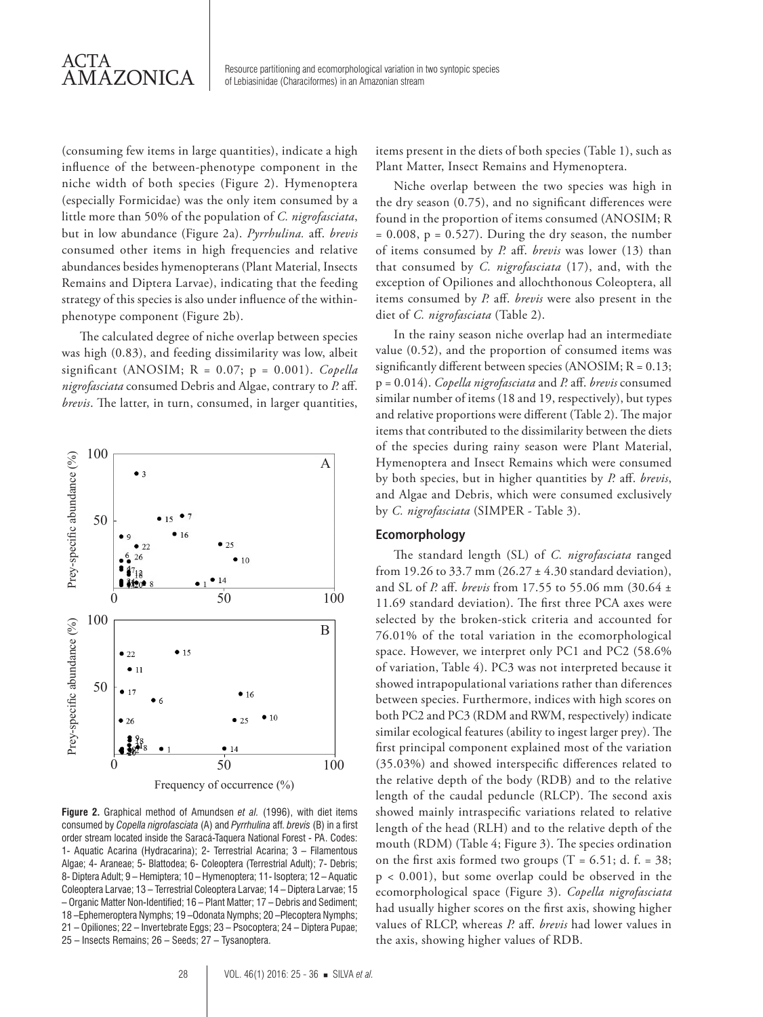(consuming few items in large quantities), indicate a high influence of the between-phenotype component in the niche width of both species (Figure 2). Hymenoptera (especially Formicidae) was the only item consumed by a little more than 50% of the population of *C. nigrofasciata*, but in low abundance (Figure 2a). *Pyrrhulina.* aff. *brevis* consumed other items in high frequencies and relative abundances besides hymenopterans (Plant Material, Insects Remains and Diptera Larvae), indicating that the feeding strategy of this species is also under influence of the withinphenotype component (Figure 2b).

The calculated degree of niche overlap between species was high (0.83), and feeding dissimilarity was low, albeit significant (ANOSIM; R = 0.07; p = 0.001). *Copella nigrofasciata* consumed Debris and Algae, contrary to *P.* aff. *brevis*. The latter, in turn, consumed, in larger quantities,



**Figure 2.** Graphical method of Amundsen *et al.* (1996), with diet items consumed by *Copella nigrofasciata* (A) and *Pyrrhulina* aff. *brevis* (B) in a first order stream located inside the Saracá-Taquera National Forest - PA. Codes: 1- Aquatic Acarina (Hydracarina); 2- Terrestrial Acarina; 3 – Filamentous Algae; 4- Araneae; 5- Blattodea; 6- Coleoptera (Terrestrial Adult); 7- Debris; 8- Diptera Adult; 9 – Hemiptera; 10 – Hymenoptera; 11- Isoptera; 12 – Aquatic Coleoptera Larvae; 13 – Terrestrial Coleoptera Larvae; 14 – Diptera Larvae; 15 – Organic Matter Non-Identified; 16 – Plant Matter; 17 – Debris and Sediment; 18 –Ephemeroptera Nymphs; 19 –Odonata Nymphs; 20 –Plecoptera Nymphs; 21 – Opiliones; 22 – Invertebrate Eggs; 23 – Psocoptera; 24 – Diptera Pupae; 25 – Insects Remains; 26 – Seeds; 27 – Tysanoptera.

items present in the diets of both species (Table 1), such as Plant Matter, Insect Remains and Hymenoptera.

Niche overlap between the two species was high in the dry season (0.75), and no significant differences were found in the proportion of items consumed (ANOSIM; R  $= 0.008$ ,  $p = 0.527$ ). During the dry season, the number of items consumed by *P.* aff. *brevis* was lower (13) than that consumed by *C. nigrofasciata* (17), and, with the exception of Opiliones and allochthonous Coleoptera, all items consumed by *P.* aff. *brevis* were also present in the diet of *C. nigrofasciata* (Table 2).

In the rainy season niche overlap had an intermediate value (0.52), and the proportion of consumed items was significantly different between species (ANOSIM; R = 0.13; p = 0.014). *Copella nigrofasciata* and *P.* aff. *brevis* consumed similar number of items (18 and 19, respectively), but types and relative proportions were different (Table 2). The major items that contributed to the dissimilarity between the diets of the species during rainy season were Plant Material, Hymenoptera and Insect Remains which were consumed by both species, but in higher quantities by *P.* aff. *brevis*, and Algae and Debris, which were consumed exclusively by *C. nigrofasciata* (SIMPER - Table 3).

#### **Ecomorphology**

The standard length (SL) of *C. nigrofasciata* ranged from 19.26 to 33.7 mm  $(26.27 \pm 4.30 \text{ standard deviation})$ , and SL of *P.* aff. *brevis* from 17.55 to 55.06 mm (30.64 ± 11.69 standard deviation). The first three PCA axes were selected by the broken-stick criteria and accounted for 76.01% of the total variation in the ecomorphological space. However, we interpret only PC1 and PC2 (58.6% of variation, Table 4). PC3 was not interpreted because it showed intrapopulational variations rather than diferences between species. Furthermore, indices with high scores on both PC2 and PC3 (RDM and RWM, respectively) indicate similar ecological features (ability to ingest larger prey). The first principal component explained most of the variation (35.03%) and showed interspecific differences related to the relative depth of the body (RDB) and to the relative length of the caudal peduncle (RLCP). The second axis showed mainly intraspecific variations related to relative length of the head (RLH) and to the relative depth of the mouth (RDM) (Table 4; Figure 3). The species ordination on the first axis formed two groups  $(T = 6.51; d. f. = 38;$ p < 0.001), but some overlap could be observed in the ecomorphological space (Figure 3). *Copella nigrofasciata* had usually higher scores on the first axis, showing higher values of RLCP, whereas *P.* aff. *brevis* had lower values in the axis, showing higher values of RDB.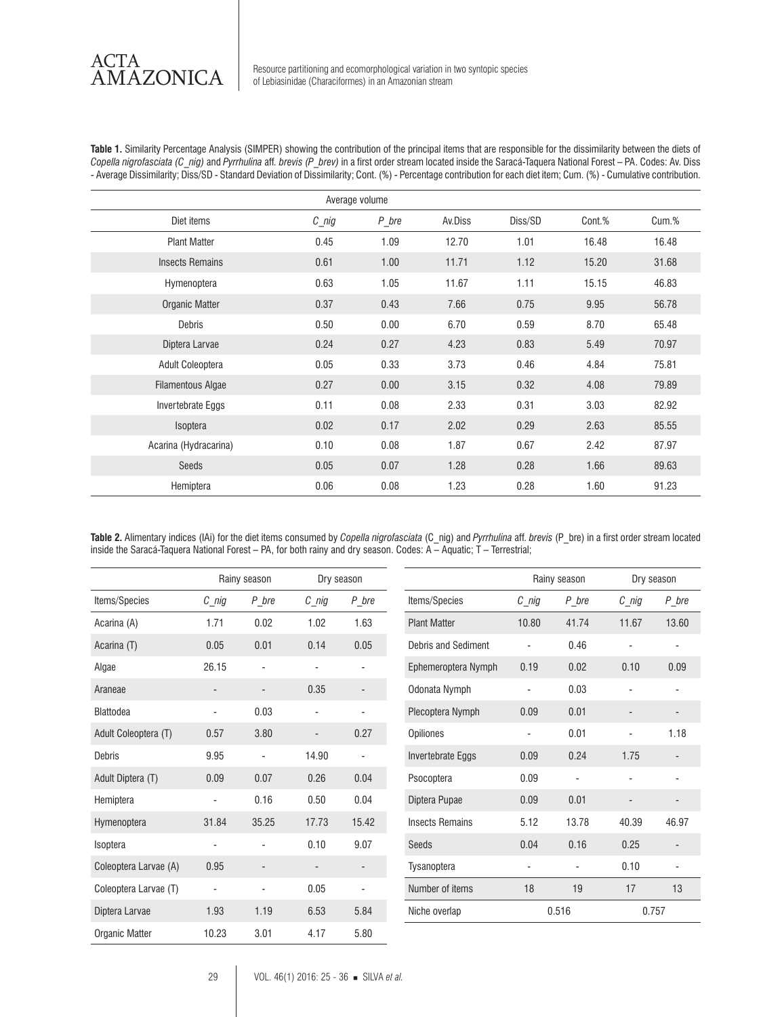$\mathrm{AMAZONICA} \;\;\mid\; \mathrm{{}^{Resonice\, partitioning\, and\, econophological\, variation\, in\, two\, syntopic\, species} }$  of Lebiasinidae (Characiformes) in an Amazonian stream of Lebiasinidae (Characiformes) in an Amazonian stream

**Table 1.** Similarity Percentage Analysis (SIMPER) showing the contribution of the principal items that are responsible for the dissimilarity between the diets of *Copella nigrofasciata (C\_nig)* and *Pyrrhulina* aff*. brevis (P\_brev)* in a first order stream located inside the Saracá-Taquera National Forest – PA. Codes: Av. Diss - Average Dissimilarity; Diss/SD - Standard Deviation of Dissimilarity; Cont. (%) - Percentage contribution for each diet item; Cum. (%) - Cumulative contribution.

| Average volume           |          |         |         |         |        |       |
|--------------------------|----------|---------|---------|---------|--------|-------|
| Diet items               | $C$ _nig | $P_bre$ | Av.Diss | Diss/SD | Cont.% | Cum.% |
| <b>Plant Matter</b>      | 0.45     | 1.09    | 12.70   | 1.01    | 16.48  | 16.48 |
| <b>Insects Remains</b>   | 0.61     | 1.00    | 11.71   | 1.12    | 15.20  | 31.68 |
| Hymenoptera              | 0.63     | 1.05    | 11.67   | 1.11    | 15.15  | 46.83 |
| <b>Organic Matter</b>    | 0.37     | 0.43    | 7.66    | 0.75    | 9.95   | 56.78 |
| <b>Debris</b>            | 0.50     | 0.00    | 6.70    | 0.59    | 8.70   | 65.48 |
| Diptera Larvae           | 0.24     | 0.27    | 4.23    | 0.83    | 5.49   | 70.97 |
| Adult Coleoptera         | 0.05     | 0.33    | 3.73    | 0.46    | 4.84   | 75.81 |
| <b>Filamentous Algae</b> | 0.27     | 0.00    | 3.15    | 0.32    | 4.08   | 79.89 |
| Invertebrate Eggs        | 0.11     | 0.08    | 2.33    | 0.31    | 3.03   | 82.92 |
| Isoptera                 | 0.02     | 0.17    | 2.02    | 0.29    | 2.63   | 85.55 |
| Acarina (Hydracarina)    | 0.10     | 0.08    | 1.87    | 0.67    | 2.42   | 87.97 |
| Seeds                    | 0.05     | 0.07    | 1.28    | 0.28    | 1.66   | 89.63 |
| Hemiptera                | 0.06     | 0.08    | 1.23    | 0.28    | 1.60   | 91.23 |

**Table 2.** Alimentary indices (IAi) for the diet items consumed by *Copella nigrofasciata* (C\_nig) and *Pyrrhulina* aff. *brevis* (P\_bre) in a first order stream located inside the Saracá-Taquera National Forest – PA, for both rainy and dry season. Codes: A – Aquatic; T – Terrestrial;

|                       |                              | Rainy season             |                          | Dry season               |                        |                          | Rainy season   | Dry season               |  |
|-----------------------|------------------------------|--------------------------|--------------------------|--------------------------|------------------------|--------------------------|----------------|--------------------------|--|
| Items/Species         | $C$ nig                      | $P_bre$                  | $C$ nig                  | $P_bre$                  | Items/Species          | $C$ nig                  | $P_bre$        | $C_{nq}$                 |  |
| Acarina (A)           | 1.71                         | 0.02                     | 1.02                     | 1.63                     | <b>Plant Matter</b>    | 10.80                    | 41.74          | 11.67                    |  |
| Acarina (T)           | 0.05                         | 0.01                     | 0.14                     | 0.05                     | Debris and Sediment    |                          | 0.46           | ä,                       |  |
| Algae                 | 26.15                        | ä,                       |                          | $\blacksquare$           | Ephemeroptera Nymph    | 0.19                     | 0.02           | 0.10                     |  |
| Araneae               | $\qquad \qquad \blacksquare$ | $\overline{\phantom{a}}$ | 0.35                     | $\overline{\phantom{a}}$ | Odonata Nymph          | $\blacksquare$           | 0.03           | ٠                        |  |
| <b>Blattodea</b>      | ٠                            | 0.03                     | $\overline{\phantom{a}}$ | ٠                        | Plecoptera Nymph       | 0.09                     | 0.01           | $\overline{\phantom{a}}$ |  |
| Adult Coleoptera (T)  | 0.57                         | 3.80                     | $\blacksquare$           | 0.27                     | Opiliones              | $\overline{\phantom{a}}$ | 0.01           | ä,                       |  |
| Debris                | 9.95                         | $\blacksquare$           | 14.90                    | ÷                        | Invertebrate Eggs      | 0.09                     | 0.24           | 1.75                     |  |
| Adult Diptera (T)     | 0.09                         | 0.07                     | 0.26                     | 0.04                     | Psocoptera             | 0.09                     | ÷,             |                          |  |
| Hemiptera             | $\blacksquare$               | 0.16                     | 0.50                     | 0.04                     | Diptera Pupae          | 0.09                     | 0.01           |                          |  |
| Hymenoptera           | 31.84                        | 35.25                    | 17.73                    | 15.42                    | <b>Insects Remains</b> | 5.12                     | 13.78          | 40.39                    |  |
| Isoptera              |                              | $\blacksquare$           | 0.10                     | 9.07                     | Seeds                  | 0.04                     | 0.16           | 0.25                     |  |
| Coleoptera Larvae (A) | 0.95                         | $\overline{\phantom{a}}$ | $\overline{\phantom{a}}$ | $\overline{\phantom{a}}$ | Tysanoptera            | $\overline{\phantom{a}}$ | $\overline{a}$ | 0.10                     |  |
| Coleoptera Larvae (T) | $\blacksquare$               | $\sim$                   | 0.05                     | $\blacksquare$           | Number of items        | 18                       | 19             | 17                       |  |
| Diptera Larvae        | 1.93                         | 1.19                     | 6.53                     | 5.84                     | Niche overlap          |                          | 0.516          | 0.757                    |  |
| <b>Organic Matter</b> | 10.23                        | 3.01                     | 4.17                     | 5.80                     |                        |                          |                |                          |  |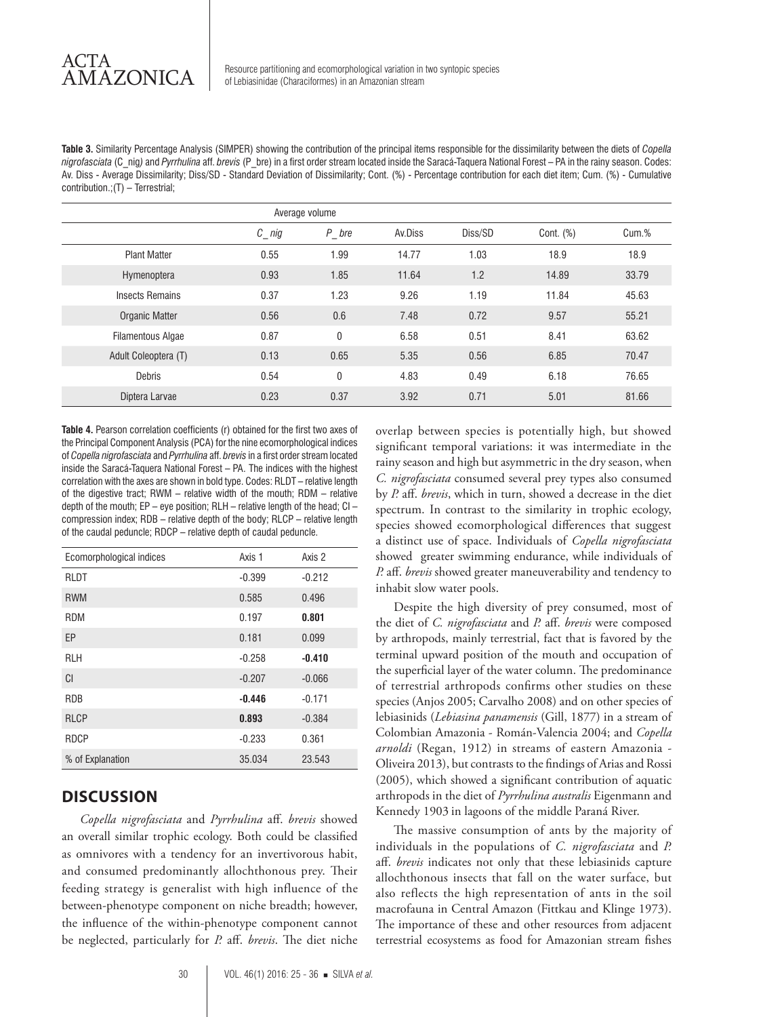**Table 3.** Similarity Percentage Analysis (SIMPER) showing the contribution of the principal items responsible for the dissimilarity between the diets of *Copella nigrofasciata* (C\_nig*)* and *Pyrrhulina* aff. *brevis* (P\_bre) in a first order stream located inside the Saracá-Taquera National Forest – PA in the rainy season. Codes: Av. Diss - Average Dissimilarity; Diss/SD - Standard Deviation of Dissimilarity; Cont. (%) - Percentage contribution for each diet item; Cum. (%) - Cumulative contribution.;(T) – Terrestrial;

| Average volume           |         |         |         |         |              |       |
|--------------------------|---------|---------|---------|---------|--------------|-------|
|                          | $C$ nig | $P_bre$ | Av.Diss | Diss/SD | Cont. $(\%)$ | Cum.% |
| <b>Plant Matter</b>      | 0.55    | 1.99    | 14.77   | 1.03    | 18.9         | 18.9  |
| Hymenoptera              | 0.93    | 1.85    | 11.64   | 1.2     | 14.89        | 33.79 |
| <b>Insects Remains</b>   | 0.37    | 1.23    | 9.26    | 1.19    | 11.84        | 45.63 |
| <b>Organic Matter</b>    | 0.56    | 0.6     | 7.48    | 0.72    | 9.57         | 55.21 |
| <b>Filamentous Algae</b> | 0.87    | 0       | 6.58    | 0.51    | 8.41         | 63.62 |
| Adult Coleoptera (T)     | 0.13    | 0.65    | 5.35    | 0.56    | 6.85         | 70.47 |
| Debris                   | 0.54    | 0       | 4.83    | 0.49    | 6.18         | 76.65 |
| Diptera Larvae           | 0.23    | 0.37    | 3.92    | 0.71    | 5.01         | 81.66 |

**Table 4.** Pearson correlation coefficients (r) obtained for the first two axes of the Principal Component Analysis (PCA) for the nine ecomorphological indices of *Copella nigrofasciata* and *Pyrrhulina* aff. *brevis* in a first order stream located inside the Saracá-Taquera National Forest – PA. The indices with the highest correlation with the axes are shown in bold type. Codes: RLDT – relative length of the digestive tract; RWM – relative width of the mouth; RDM – relative depth of the mouth; EP – eye position; RLH – relative length of the head; CI – compression index; RDB – relative depth of the body; RLCP – relative length of the caudal peduncle; RDCP – relative depth of caudal peduncle.

| Ecomorphological indices | Axis 1   | Axis 2   |
|--------------------------|----------|----------|
| <b>RLDT</b>              | $-0.399$ | $-0.212$ |
| <b>RWM</b>               | 0.585    | 0.496    |
| <b>RDM</b>               | 0.197    | 0.801    |
| EP                       | 0.181    | 0.099    |
| <b>RLH</b>               | $-0.258$ | $-0.410$ |
| <b>CI</b>                | $-0.207$ | $-0.066$ |
| <b>RDB</b>               | $-0.446$ | $-0.171$ |
| <b>RLCP</b>              | 0.893    | $-0.384$ |
| <b>RDCP</b>              | $-0.233$ | 0.361    |
| % of Explanation         | 35.034   | 23.543   |

## **DISCUSSION**

*Copella nigrofasciata* and *Pyrrhulina* aff. *brevis* showed an overall similar trophic ecology. Both could be classified as omnivores with a tendency for an invertivorous habit, and consumed predominantly allochthonous prey. Their feeding strategy is generalist with high influence of the between-phenotype component on niche breadth; however, the influence of the within-phenotype component cannot be neglected, particularly for *P.* aff. *brevis*. The diet niche overlap between species is potentially high, but showed significant temporal variations: it was intermediate in the rainy season and high but asymmetric in the dry season, when *C. nigrofasciata* consumed several prey types also consumed by *P.* aff. *brevis*, which in turn, showed a decrease in the diet spectrum. In contrast to the similarity in trophic ecology, species showed ecomorphological differences that suggest a distinct use of space. Individuals of *Copella nigrofasciata* showed greater swimming endurance, while individuals of *P.* aff. *brevis* showed greater maneuverability and tendency to inhabit slow water pools.

Despite the high diversity of prey consumed, most of the diet of *C. nigrofasciata* and *P.* aff. *brevis* were composed by arthropods, mainly terrestrial, fact that is favored by the terminal upward position of the mouth and occupation of the superficial layer of the water column. The predominance of terrestrial arthropods confirms other studies on these species (Anjos 2005; Carvalho 2008) and on other species of lebiasinids (*Lebiasina panamensis* (Gill, 1877) in a stream of Colombian Amazonia - Román-Valencia 2004; and *Copella arnoldi* (Regan, 1912) in streams of eastern Amazonia - Oliveira 2013), but contrasts to the findings of Arias and Rossi (2005), which showed a significant contribution of aquatic arthropods in the diet of *Pyrrhulina australis* Eigenmann and Kennedy 1903 in lagoons of the middle Paraná River.

The massive consumption of ants by the majority of individuals in the populations of *C. nigrofasciata* and *P.*  aff. *brevis* indicates not only that these lebiasinids capture allochthonous insects that fall on the water surface, but also reflects the high representation of ants in the soil macrofauna in Central Amazon (Fittkau and Klinge 1973). The importance of these and other resources from adjacent terrestrial ecosystems as food for Amazonian stream fishes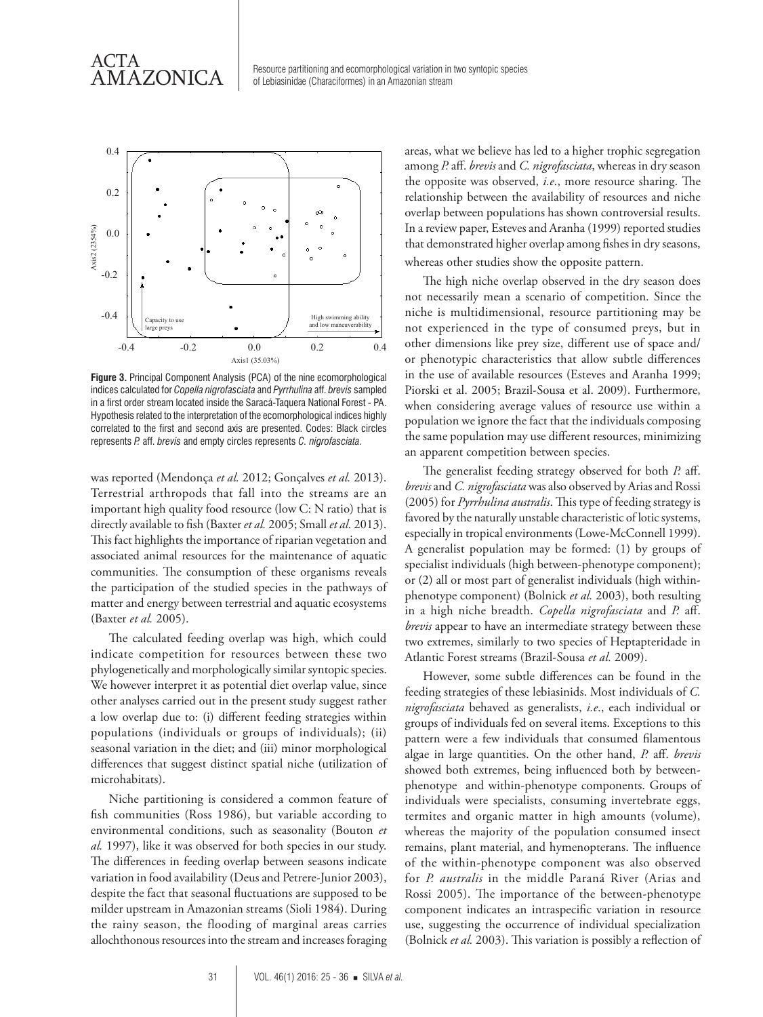# ACTA<br>AMAZONICA

Resource partitioning and ecomorphological variation in two syntopic species of Lebiasinidae (Characiformes) in an Amazonian stream



**Figure 3.** Principal Component Analysis (PCA) of the nine ecomorphological indices calculated for *Copella nigrofasciata* and *Pyrrhulina* aff. *brevis* sampled in a first order stream located inside the Saracá-Taquera National Forest - PA. Hypothesis related to the interpretation of the ecomorphological indices highly correlated to the first and second axis are presented. Codes: Black circles represents *P.* aff. *brevis* and empty circles represents *C. nigrofasciata*.

was reported (Mendonça *et al.* 2012; Gonçalves *et al.* 2013). Terrestrial arthropods that fall into the streams are an important high quality food resource (low C: N ratio) that is directly available to fish (Baxter *et al.* 2005; Small *et al.* 2013). This fact highlights the importance of riparian vegetation and associated animal resources for the maintenance of aquatic communities. The consumption of these organisms reveals the participation of the studied species in the pathways of matter and energy between terrestrial and aquatic ecosystems (Baxter *et al.* 2005).

The calculated feeding overlap was high, which could indicate competition for resources between these two phylogenetically and morphologically similar syntopic species. We however interpret it as potential diet overlap value, since other analyses carried out in the present study suggest rather a low overlap due to: (i) different feeding strategies within populations (individuals or groups of individuals); (ii) seasonal variation in the diet; and (iii) minor morphological differences that suggest distinct spatial niche (utilization of microhabitats).

Niche partitioning is considered a common feature of fish communities (Ross 1986), but variable according to environmental conditions, such as seasonality (Bouton *et al.* 1997), like it was observed for both species in our study. The differences in feeding overlap between seasons indicate variation in food availability (Deus and Petrere-Junior 2003), despite the fact that seasonal fluctuations are supposed to be milder upstream in Amazonian streams (Sioli 1984). During the rainy season, the flooding of marginal areas carries allochthonous resources into the stream and increases foraging areas, what we believe has led to a higher trophic segregation among *P.* aff. *brevis* and *C. nigrofasciata*, whereas in dry season the opposite was observed, *i.e*., more resource sharing. The relationship between the availability of resources and niche overlap between populations has shown controversial results. In a review paper, Esteves and Aranha (1999) reported studies that demonstrated higher overlap among fishes in dry seasons, whereas other studies show the opposite pattern.

The high niche overlap observed in the dry season does not necessarily mean a scenario of competition. Since the niche is multidimensional, resource partitioning may be not experienced in the type of consumed preys, but in other dimensions like prey size, different use of space and/ or phenotypic characteristics that allow subtle differences in the use of available resources (Esteves and Aranha 1999; Piorski et al. 2005; Brazil-Sousa et al. 2009). Furthermore, when considering average values of resource use within a population we ignore the fact that the individuals composing the same population may use different resources, minimizing an apparent competition between species.

The generalist feeding strategy observed for both *P.* aff. *brevis* and *C. nigrofasciata* was also observed by Arias and Rossi (2005) for *Pyrrhulina australis*. This type of feeding strategy is favored by the naturally unstable characteristic of lotic systems, especially in tropical environments (Lowe-McConnell 1999). A generalist population may be formed: (1) by groups of specialist individuals (high between-phenotype component); or (2) all or most part of generalist individuals (high withinphenotype component) (Bolnick *et al.* 2003), both resulting in a high niche breadth. *Copella nigrofasciata* and *P.* aff. *brevis* appear to have an intermediate strategy between these two extremes, similarly to two species of Heptapteridade in Atlantic Forest streams (Brazil-Sousa *et al.* 2009).

However, some subtle differences can be found in the feeding strategies of these lebiasinids. Most individuals of *C. nigrofasciata* behaved as generalists, *i.e*., each individual or groups of individuals fed on several items. Exceptions to this pattern were a few individuals that consumed filamentous algae in large quantities. On the other hand, *P.* aff. *brevis* showed both extremes, being influenced both by betweenphenotype and within-phenotype components. Groups of individuals were specialists, consuming invertebrate eggs, termites and organic matter in high amounts (volume), whereas the majority of the population consumed insect remains, plant material, and hymenopterans. The influence of the within-phenotype component was also observed for *P. australis* in the middle Paraná River (Arias and Rossi 2005). The importance of the between-phenotype component indicates an intraspecific variation in resource use, suggesting the occurrence of individual specialization (Bolnick *et al.* 2003). This variation is possibly a reflection of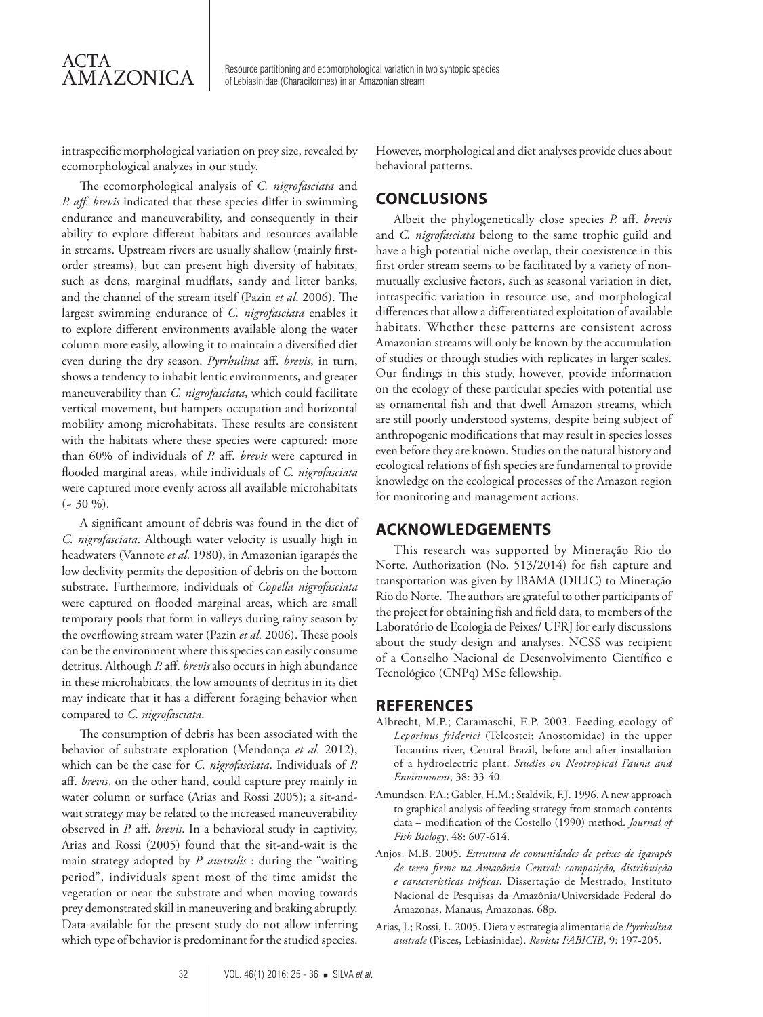intraspecific morphological variation on prey size, revealed by ecomorphological analyzes in our study.

However, morphological and diet analyses provide clues about behavioral patterns.

The ecomorphological analysis of *C. nigrofasciata* and *P. aff. brevis* indicated that these species differ in swimming endurance and maneuverability, and consequently in their ability to explore different habitats and resources available in streams. Upstream rivers are usually shallow (mainly firstorder streams), but can present high diversity of habitats, such as dens, marginal mudflats, sandy and litter banks, and the channel of the stream itself (Pazin *et al*. 2006). The largest swimming endurance of *C. nigrofasciata* enables it to explore different environments available along the water column more easily, allowing it to maintain a diversified diet even during the dry season. *Pyrrhulina* aff. *brevis*, in turn, shows a tendency to inhabit lentic environments, and greater maneuverability than *C. nigrofasciata*, which could facilitate vertical movement, but hampers occupation and horizontal mobility among microhabitats. These results are consistent with the habitats where these species were captured: more than 60% of individuals of *P.* aff. *brevis* were captured in flooded marginal areas, while individuals of *C. nigrofasciata* were captured more evenly across all available microhabitats  $(-30\%)$ .

A significant amount of debris was found in the diet of *C. nigrofasciata*. Although water velocity is usually high in headwaters (Vannote *et al*. 1980), in Amazonian igarapés the low declivity permits the deposition of debris on the bottom substrate. Furthermore, individuals of *Copella nigrofasciata* were captured on flooded marginal areas, which are small temporary pools that form in valleys during rainy season by the overflowing stream water (Pazin *et al.* 2006). These pools can be the environment where this species can easily consume detritus. Although *P.* aff. *brevis* also occurs in high abundance in these microhabitats, the low amounts of detritus in its diet may indicate that it has a different foraging behavior when compared to *C. nigrofasciata*.

The consumption of debris has been associated with the behavior of substrate exploration (Mendonça *et al.* 2012), which can be the case for *C. nigrofasciata*. Individuals of *P.* aff. *brevis*, on the other hand, could capture prey mainly in water column or surface (Arias and Rossi 2005); a sit-andwait strategy may be related to the increased maneuverability observed in *P.* aff. *brevis*. In a behavioral study in captivity, Arias and Rossi (2005) found that the sit-and-wait is the main strategy adopted by *P. australis* : during the "waiting period", individuals spent most of the time amidst the vegetation or near the substrate and when moving towards prey demonstrated skill in maneuvering and braking abruptly. Data available for the present study do not allow inferring which type of behavior is predominant for the studied species.

# **CONCLUSIONS**

Albeit the phylogenetically close species *P.* aff. *brevis* and *C. nigrofasciata* belong to the same trophic guild and have a high potential niche overlap, their coexistence in this first order stream seems to be facilitated by a variety of nonmutually exclusive factors, such as seasonal variation in diet, intraspecific variation in resource use, and morphological differences that allow a differentiated exploitation of available habitats. Whether these patterns are consistent across Amazonian streams will only be known by the accumulation of studies or through studies with replicates in larger scales. Our findings in this study, however, provide information on the ecology of these particular species with potential use as ornamental fish and that dwell Amazon streams, which are still poorly understood systems, despite being subject of anthropogenic modifications that may result in species losses even before they are known. Studies on the natural history and ecological relations of fish species are fundamental to provide knowledge on the ecological processes of the Amazon region for monitoring and management actions.

## **ACKNOWLEDGEMENTS**

This research was supported by Mineração Rio do Norte. Authorization (No. 513/2014) for fish capture and transportation was given by IBAMA (DILIC) to Mineração Rio do Norte. The authors are grateful to other participants of the project for obtaining fish and field data, to members of the Laboratório de Ecologia de Peixes/ UFRJ for early discussions about the study design and analyses. NCSS was recipient of a Conselho Nacional de Desenvolvimento Científico e Tecnológico (CNPq) MSc fellowship.

#### **REFERENCES**

- Albrecht, M.P.; Caramaschi, E.P. 2003. Feeding ecology of *Leporinus friderici* (Teleostei; Anostomidae) in the upper Tocantins river, Central Brazil, before and after installation of a hydroelectric plant. *Studies on Neotropical Fauna and Environment*, 38: 33-40.
- Amundsen, P.A.; Gabler, H.M.; Staldvik, F.J. 1996. A new approach to graphical analysis of feeding strategy from stomach contents data – modification of the Costello (1990) method. *Journal of Fish Biology*, 48: 607-614.
- Anjos, M.B. 2005. *Estrutura de comunidades de peixes de igarapés de terra firme na Amazônia Central: composição, distribuição e características tróficas*. Dissertação de Mestrado, Instituto Nacional de Pesquisas da Amazônia/Universidade Federal do Amazonas, Manaus, Amazonas. 68p.
- Arias, J.; Rossi, L. 2005. Dieta y estrategia alimentaria de *Pyrrhulina australe* (Pisces, Lebiasinidae). *Revista FABICIB*, 9: 197-205.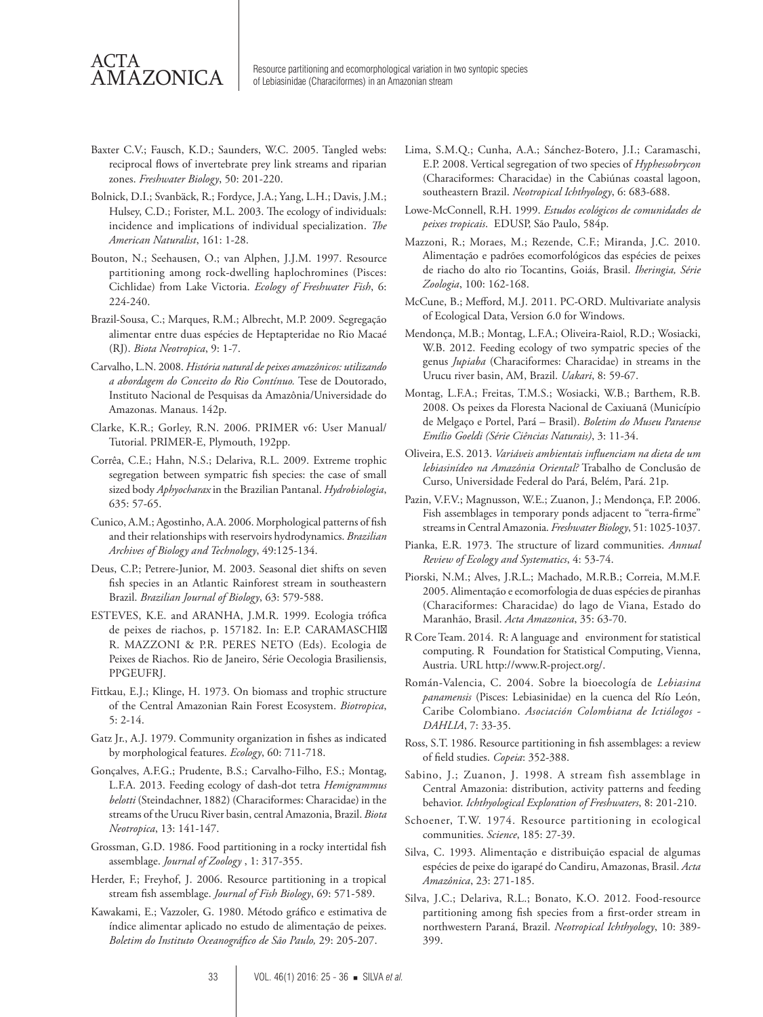# ACTA

- Baxter C.V.; Fausch, K.D.; Saunders, W.C. 2005. Tangled webs: reciprocal flows of invertebrate prey link streams and riparian zones. *Freshwater Biology*, 50: 201-220.
- Bolnick, D.I.; Svanbäck, R.; Fordyce, J.A.; Yang, L.H.; Davis, J.M.; Hulsey, C.D.; Forister, M.L. 2003. The ecology of individuals: incidence and implications of individual specialization. *The American Naturalist*, 161: 1-28.
- Bouton, N.; Seehausen, O.; van Alphen, J.J.M. 1997. Resource partitioning among rock-dwelling haplochromines (Pisces: Cichlidae) from Lake Victoria. *Ecology of Freshwater Fish*, 6: 224-240.
- Brazil-Sousa, C.; Marques, R.M.; Albrecht, M.P. 2009. Segregação alimentar entre duas espécies de Heptapteridae no Rio Macaé (RJ). *Biota Neotropica*, 9: 1-7.
- Carvalho, L.N. 2008. *História natural de peixes amazônicos: utilizando a abordagem do Conceito do Rio Contínuo.* Tese de Doutorado, Instituto Nacional de Pesquisas da Amazônia/Universidade do Amazonas. Manaus. 142p.
- Clarke, K.R.; Gorley, R.N. 2006. PRIMER v6: User Manual/ Tutorial. PRIMER-E, Plymouth, 192pp.
- Corrêa, C.E.; Hahn, N.S.; Delariva, R.L. 2009. Extreme trophic segregation between sympatric fish species: the case of small sized body *Aphyocharax* in the Brazilian Pantanal. *Hydrobiologia*, 635: 57-65.
- Cunico, A.M.; Agostinho, A.A. 2006. Morphological patterns of fish and their relationships with reservoirs hydrodynamics. *Brazilian Archives of Biology and Technology*, 49:125-134.
- Deus, C.P.; Petrere-Junior, M. 2003. Seasonal diet shifts on seven fish species in an Atlantic Rainforest stream in southeastern Brazil. *Brazilian Journal of Biology*, 63: 579-588.
- ESTEVES, K.E. and ARANHA, J.M.R. 1999. Ecologia trófica de peixes de riachos, p. 157182. In: E.P. CARAMASCHI; R. MAZZONI & P.R. PERES NETO (Eds). Ecologia de Peixes de Riachos. Rio de Janeiro, Série Oecologia Brasiliensis, PPGEUFRJ.
- Fittkau, E.J.; Klinge, H. 1973. On biomass and trophic structure of the Central Amazonian Rain Forest Ecosystem. *Biotropica*, 5: 2-14.
- Gatz Jr., A.J. 1979. Community organization in fishes as indicated by morphological features. *Ecology*, 60: 711-718.
- Gonçalves, A.F.G.; Prudente, B.S.; Carvalho-Filho, F.S.; Montag, L.F.A. 2013. Feeding ecology of dash-dot tetra *Hemigrammus belotti* (Steindachner, 1882) (Characiformes: Characidae) in the streams of the Urucu River basin, central Amazonia, Brazil. *Biota Neotropica*, 13: 141-147.
- Grossman, G.D. 1986. Food partitioning in a rocky intertidal fish assemblage. *Journal of Zoology* , 1: 317-355.
- Herder, F.; Freyhof, J. 2006. Resource partitioning in a tropical stream fish assemblage. *Journal of Fish Biology*, 69: 571-589.
- Kawakami, E.; Vazzoler, G. 1980. Método gráfico e estimativa de índice alimentar aplicado no estudo de alimentação de peixes. *Boletim do Instituto Oceanográfico de São Paulo,* 29: 205-207.
- Lima, S.M.Q.; Cunha, A.A.; Sánchez-Botero, J.I.; Caramaschi, E.P. 2008. Vertical segregation of two species of *Hyphessobrycon* (Characiformes: Characidae) in the Cabiúnas coastal lagoon, southeastern Brazil. *Neotropical Ichthyology*, 6: 683-688.
- Lowe-McConnell, R.H. 1999. *Estudos ecológicos de comunidades de peixes tropicais*. EDUSP, São Paulo, 584p.
- Mazzoni, R.; Moraes, M.; Rezende, C.F.; Miranda, J.C. 2010. Alimentação e padrões ecomorfológicos das espécies de peixes de riacho do alto rio Tocantins, Goiás, Brasil. *Iheringia, Série Zoologia*, 100: 162-168.
- McCune, B.; Mefford, M.J. 2011. PC-ORD. Multivariate analysis of Ecological Data, Version 6.0 for Windows.
- Mendonça, M.B.; Montag, L.F.A.; Oliveira-Raiol, R.D.; Wosiacki, W.B. 2012. Feeding ecology of two sympatric species of the genus *Jupiaba* (Characiformes: Characidae) in streams in the Urucu river basin, AM, Brazil. *Uakari*, 8: 59-67.
- Montag, L.F.A.; Freitas, T.M.S.; Wosiacki, W.B.; Barthem, R.B. 2008. Os peixes da Floresta Nacional de Caxiuanã (Município de Melgaço e Portel, Pará – Brasil). *Boletim do Museu Paraense Emílio Goeldi (Série Ciências Naturais)*, 3: 11-34.
- Oliveira, E.S. 2013. *Variáveis ambientais influenciam na dieta de um lebiasinídeo na Amazônia Oriental?* Trabalho de Conclusão de Curso, Universidade Federal do Pará, Belém, Pará. 21p.
- Pazin, V.F.V.; Magnusson, W.E.; Zuanon, J.; Mendonça, F.P. 2006. Fish assemblages in temporary ponds adjacent to "terra-firme" streams in Central Amazonia. *Freshwater Biology*, 51: 1025-1037.
- Pianka, E.R. 1973. The structure of lizard communities. *Annual Review of Ecology and Systematics*, 4: 53-74.
- Piorski, N.M.; Alves, J.R.L.; Machado, M.R.B.; Correia, M.M.F. 2005. Alimentação e ecomorfologia de duas espécies de piranhas (Characiformes: Characidae) do lago de Viana, Estado do Maranhão, Brasil. *Acta Amazonica*, 35: 63-70.
- R Core Team. 2014. R: A language and environment for statistical computing. R Foundation for Statistical Computing, Vienna, Austria. URL http://www.R-project.org/.
- Román-Valencia, C. 2004. Sobre la bioecología de *Lebiasina panamensis* (Pisces: Lebiasinidae) en la cuenca del Río León, Caribe Colombiano. *Asociación Colombiana de Ictiólogos - DAHLIA*, 7: 33-35.
- Ross, S.T. 1986. Resource partitioning in fish assemblages: a review of field studies. *Copeia*: 352-388.
- Sabino, J.; Zuanon, J. 1998. A stream fish assemblage in Central Amazonia: distribution, activity patterns and feeding behavior. *Ichthyological Exploration of Freshwaters*, 8: 201-210.
- Schoener, T.W. 1974. Resource partitioning in ecological communities. *Science*, 185: 27-39.
- Silva, C. 1993. Alimentação e distribuição espacial de algumas espécies de peixe do igarapé do Candiru, Amazonas, Brasil. *Acta Amazônica*, 23: 271-185.
- Silva, J.C.; Delariva, R.L.; Bonato, K.O. 2012. Food-resource partitioning among fish species from a first-order stream in northwestern Paraná, Brazil. *Neotropical Ichthyology*, 10: 389- 399.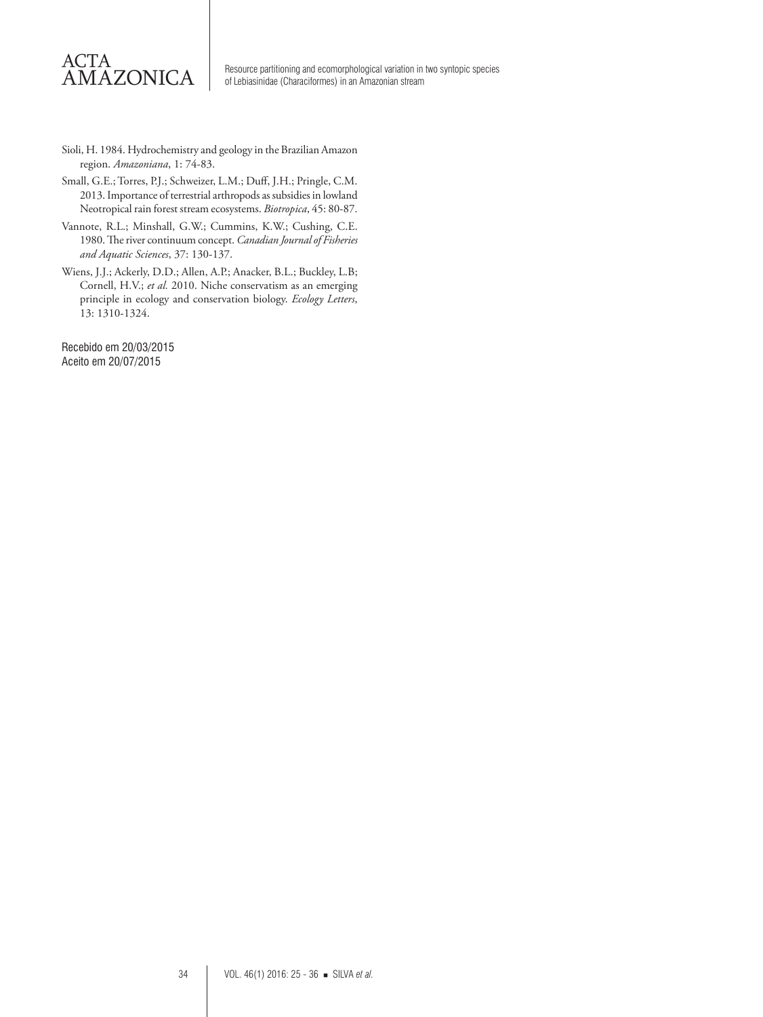

- Sioli, H. 1984. Hydrochemistry and geology in the Brazilian Amazon region. *Amazoniana*, 1: 74-83.
- Small, G.E.; Torres, P.J.; Schweizer, L.M.; Duff, J.H.; Pringle, C.M. 2013. Importance of terrestrial arthropods as subsidies in lowland Neotropical rain forest stream ecosystems. *Biotropica*, 45: 80-87.
- Vannote, R.L.; Minshall, G.W.; Cummins, K.W.; Cushing, C.E. 1980. The river continuum concept. *Canadian Journal of Fisheries and Aquatic Sciences*, 37: 130-137.
- Wiens, J.J.; Ackerly, D.D.; Allen, A.P.; Anacker, B.L.; Buckley, L.B; Cornell, H.V.; *et al.* 2010. Niche conservatism as an emerging principle in ecology and conservation biology. *Ecology Letters*, 13: 1310-1324.

Recebido em 20/03/2015 Aceito em 20/07/2015